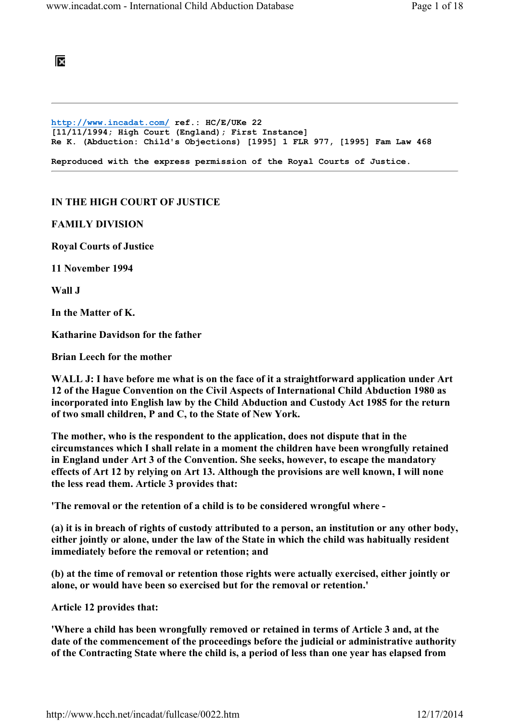

http://www.incadat.com/ ref.: HC/E/UKe 22 [11/11/1994; High Court (England); First Instance] Re K. (Abduction: Child's Objections) [1995] 1 FLR 977, [1995] Fam Law 468 Reproduced with the express permission of the Royal Courts of Justice.

## IN THE HIGH COURT OF JUSTICE

FAMILY DIVISION

Royal Courts of Justice

11 November 1994

Wall J

In the Matter of K.

Katharine Davidson for the father

Brian Leech for the mother

WALL J: I have before me what is on the face of it a straightforward application under Art 12 of the Hague Convention on the Civil Aspects of International Child Abduction 1980 as incorporated into English law by the Child Abduction and Custody Act 1985 for the return of two small children, P and C, to the State of New York.

The mother, who is the respondent to the application, does not dispute that in the circumstances which I shall relate in a moment the children have been wrongfully retained in England under Art 3 of the Convention. She seeks, however, to escape the mandatory effects of Art 12 by relying on Art 13. Although the provisions are well known, I will none the less read them. Article 3 provides that:

'The removal or the retention of a child is to be considered wrongful where -

(a) it is in breach of rights of custody attributed to a person, an institution or any other body, either jointly or alone, under the law of the State in which the child was habitually resident immediately before the removal or retention; and

(b) at the time of removal or retention those rights were actually exercised, either jointly or alone, or would have been so exercised but for the removal or retention.'

Article 12 provides that:

'Where a child has been wrongfully removed or retained in terms of Article 3 and, at the date of the commencement of the proceedings before the judicial or administrative authority of the Contracting State where the child is, a period of less than one year has elapsed from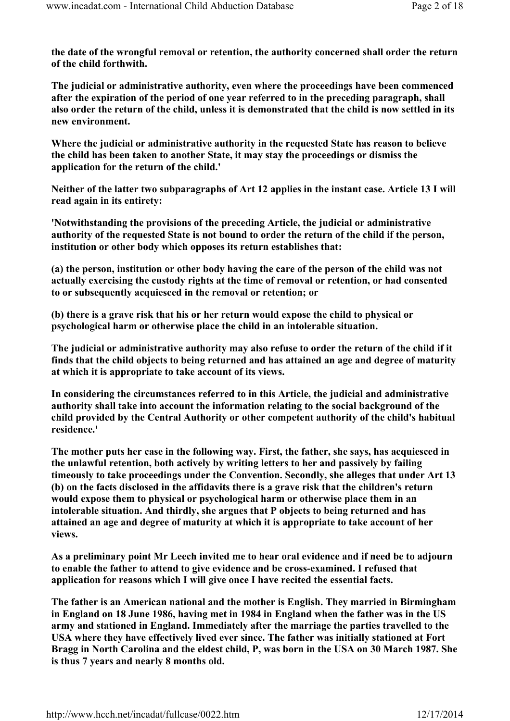the date of the wrongful removal or retention, the authority concerned shall order the return of the child forthwith.

The judicial or administrative authority, even where the proceedings have been commenced after the expiration of the period of one year referred to in the preceding paragraph, shall also order the return of the child, unless it is demonstrated that the child is now settled in its new environment.

Where the judicial or administrative authority in the requested State has reason to believe the child has been taken to another State, it may stay the proceedings or dismiss the application for the return of the child.'

Neither of the latter two subparagraphs of Art 12 applies in the instant case. Article 13 I will read again in its entirety:

'Notwithstanding the provisions of the preceding Article, the judicial or administrative authority of the requested State is not bound to order the return of the child if the person, institution or other body which opposes its return establishes that:

(a) the person, institution or other body having the care of the person of the child was not actually exercising the custody rights at the time of removal or retention, or had consented to or subsequently acquiesced in the removal or retention; or

(b) there is a grave risk that his or her return would expose the child to physical or psychological harm or otherwise place the child in an intolerable situation.

The judicial or administrative authority may also refuse to order the return of the child if it finds that the child objects to being returned and has attained an age and degree of maturity at which it is appropriate to take account of its views.

In considering the circumstances referred to in this Article, the judicial and administrative authority shall take into account the information relating to the social background of the child provided by the Central Authority or other competent authority of the child's habitual residence.'

The mother puts her case in the following way. First, the father, she says, has acquiesced in the unlawful retention, both actively by writing letters to her and passively by failing timeously to take proceedings under the Convention. Secondly, she alleges that under Art 13 (b) on the facts disclosed in the affidavits there is a grave risk that the children's return would expose them to physical or psychological harm or otherwise place them in an intolerable situation. And thirdly, she argues that P objects to being returned and has attained an age and degree of maturity at which it is appropriate to take account of her views.

As a preliminary point Mr Leech invited me to hear oral evidence and if need be to adjourn to enable the father to attend to give evidence and be cross-examined. I refused that application for reasons which I will give once I have recited the essential facts.

The father is an American national and the mother is English. They married in Birmingham in England on 18 June 1986, having met in 1984 in England when the father was in the US army and stationed in England. Immediately after the marriage the parties travelled to the USA where they have effectively lived ever since. The father was initially stationed at Fort Bragg in North Carolina and the eldest child, P, was born in the USA on 30 March 1987. She is thus 7 years and nearly 8 months old.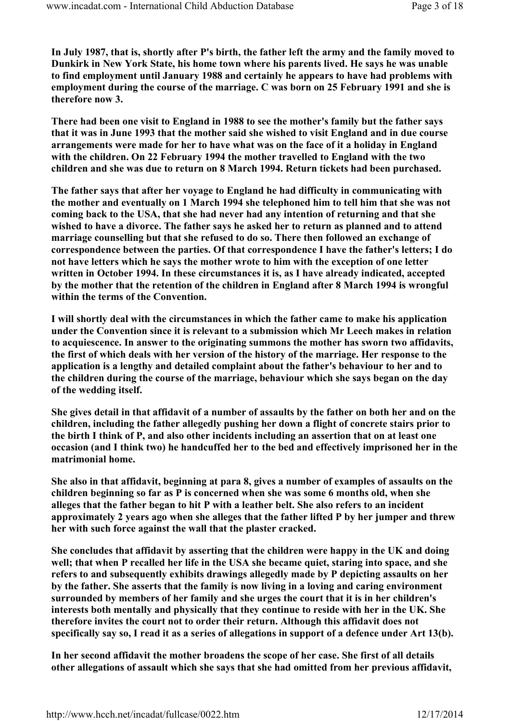In July 1987, that is, shortly after P's birth, the father left the army and the family moved to Dunkirk in New York State, his home town where his parents lived. He says he was unable to find employment until January 1988 and certainly he appears to have had problems with employment during the course of the marriage. C was born on 25 February 1991 and she is therefore now 3.

There had been one visit to England in 1988 to see the mother's family but the father says that it was in June 1993 that the mother said she wished to visit England and in due course arrangements were made for her to have what was on the face of it a holiday in England with the children. On 22 February 1994 the mother travelled to England with the two children and she was due to return on 8 March 1994. Return tickets had been purchased.

The father says that after her voyage to England he had difficulty in communicating with the mother and eventually on 1 March 1994 she telephoned him to tell him that she was not coming back to the USA, that she had never had any intention of returning and that she wished to have a divorce. The father says he asked her to return as planned and to attend marriage counselling but that she refused to do so. There then followed an exchange of correspondence between the parties. Of that correspondence I have the father's letters; I do not have letters which he says the mother wrote to him with the exception of one letter written in October 1994. In these circumstances it is, as I have already indicated, accepted by the mother that the retention of the children in England after 8 March 1994 is wrongful within the terms of the Convention.

I will shortly deal with the circumstances in which the father came to make his application under the Convention since it is relevant to a submission which Mr Leech makes in relation to acquiescence. In answer to the originating summons the mother has sworn two affidavits, the first of which deals with her version of the history of the marriage. Her response to the application is a lengthy and detailed complaint about the father's behaviour to her and to the children during the course of the marriage, behaviour which she says began on the day of the wedding itself.

She gives detail in that affidavit of a number of assaults by the father on both her and on the children, including the father allegedly pushing her down a flight of concrete stairs prior to the birth I think of P, and also other incidents including an assertion that on at least one occasion (and I think two) he handcuffed her to the bed and effectively imprisoned her in the matrimonial home.

She also in that affidavit, beginning at para 8, gives a number of examples of assaults on the children beginning so far as P is concerned when she was some 6 months old, when she alleges that the father began to hit P with a leather belt. She also refers to an incident approximately 2 years ago when she alleges that the father lifted P by her jumper and threw her with such force against the wall that the plaster cracked.

She concludes that affidavit by asserting that the children were happy in the UK and doing well; that when P recalled her life in the USA she became quiet, staring into space, and she refers to and subsequently exhibits drawings allegedly made by P depicting assaults on her by the father. She asserts that the family is now living in a loving and caring environment surrounded by members of her family and she urges the court that it is in her children's interests both mentally and physically that they continue to reside with her in the UK. She therefore invites the court not to order their return. Although this affidavit does not specifically say so, I read it as a series of allegations in support of a defence under Art 13(b).

In her second affidavit the mother broadens the scope of her case. She first of all details other allegations of assault which she says that she had omitted from her previous affidavit,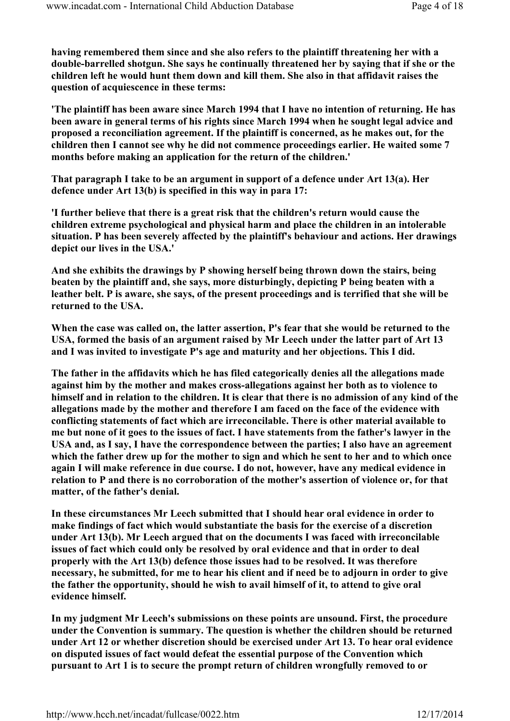having remembered them since and she also refers to the plaintiff threatening her with a double-barrelled shotgun. She says he continually threatened her by saying that if she or the children left he would hunt them down and kill them. She also in that affidavit raises the question of acquiescence in these terms:

'The plaintiff has been aware since March 1994 that I have no intention of returning. He has been aware in general terms of his rights since March 1994 when he sought legal advice and proposed a reconciliation agreement. If the plaintiff is concerned, as he makes out, for the children then I cannot see why he did not commence proceedings earlier. He waited some 7 months before making an application for the return of the children.'

That paragraph I take to be an argument in support of a defence under Art 13(a). Her defence under Art 13(b) is specified in this way in para 17:

'I further believe that there is a great risk that the children's return would cause the children extreme psychological and physical harm and place the children in an intolerable situation. P has been severely affected by the plaintiff's behaviour and actions. Her drawings depict our lives in the USA.'

And she exhibits the drawings by P showing herself being thrown down the stairs, being beaten by the plaintiff and, she says, more disturbingly, depicting P being beaten with a leather belt. P is aware, she says, of the present proceedings and is terrified that she will be returned to the USA.

When the case was called on, the latter assertion, P's fear that she would be returned to the USA, formed the basis of an argument raised by Mr Leech under the latter part of Art 13 and I was invited to investigate P's age and maturity and her objections. This I did.

The father in the affidavits which he has filed categorically denies all the allegations made against him by the mother and makes cross-allegations against her both as to violence to himself and in relation to the children. It is clear that there is no admission of any kind of the allegations made by the mother and therefore I am faced on the face of the evidence with conflicting statements of fact which are irreconcilable. There is other material available to me but none of it goes to the issues of fact. I have statements from the father's lawyer in the USA and, as I say, I have the correspondence between the parties; I also have an agreement which the father drew up for the mother to sign and which he sent to her and to which once again I will make reference in due course. I do not, however, have any medical evidence in relation to P and there is no corroboration of the mother's assertion of violence or, for that matter, of the father's denial.

In these circumstances Mr Leech submitted that I should hear oral evidence in order to make findings of fact which would substantiate the basis for the exercise of a discretion under Art 13(b). Mr Leech argued that on the documents I was faced with irreconcilable issues of fact which could only be resolved by oral evidence and that in order to deal properly with the Art 13(b) defence those issues had to be resolved. It was therefore necessary, he submitted, for me to hear his client and if need be to adjourn in order to give the father the opportunity, should he wish to avail himself of it, to attend to give oral evidence himself.

In my judgment Mr Leech's submissions on these points are unsound. First, the procedure under the Convention is summary. The question is whether the children should be returned under Art 12 or whether discretion should be exercised under Art 13. To hear oral evidence on disputed issues of fact would defeat the essential purpose of the Convention which pursuant to Art 1 is to secure the prompt return of children wrongfully removed to or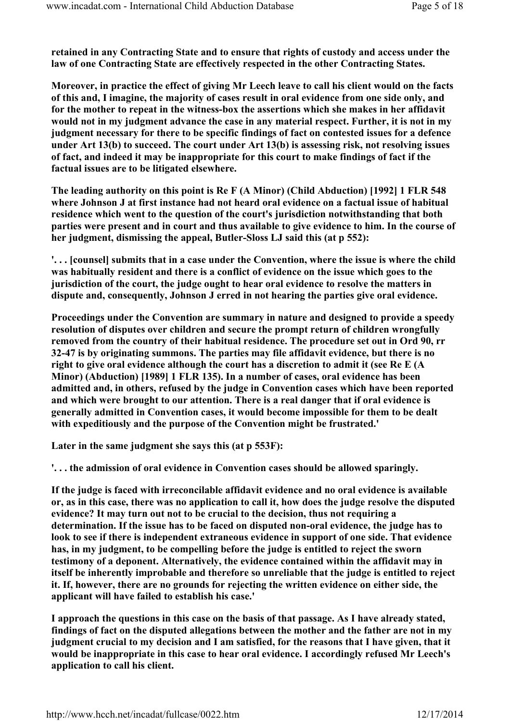retained in any Contracting State and to ensure that rights of custody and access under the law of one Contracting State are effectively respected in the other Contracting States.

Moreover, in practice the effect of giving Mr Leech leave to call his client would on the facts of this and, I imagine, the majority of cases result in oral evidence from one side only, and for the mother to repeat in the witness-box the assertions which she makes in her affidavit would not in my judgment advance the case in any material respect. Further, it is not in my judgment necessary for there to be specific findings of fact on contested issues for a defence under Art 13(b) to succeed. The court under Art 13(b) is assessing risk, not resolving issues of fact, and indeed it may be inappropriate for this court to make findings of fact if the factual issues are to be litigated elsewhere.

The leading authority on this point is Re F (A Minor) (Child Abduction) [1992] 1 FLR 548 where Johnson J at first instance had not heard oral evidence on a factual issue of habitual residence which went to the question of the court's jurisdiction notwithstanding that both parties were present and in court and thus available to give evidence to him. In the course of her judgment, dismissing the appeal, Butler-Sloss LJ said this (at p 552):

'... [counsel] submits that in a case under the Convention, where the issue is where the child was habitually resident and there is a conflict of evidence on the issue which goes to the jurisdiction of the court, the judge ought to hear oral evidence to resolve the matters in dispute and, consequently, Johnson J erred in not hearing the parties give oral evidence.

Proceedings under the Convention are summary in nature and designed to provide a speedy resolution of disputes over children and secure the prompt return of children wrongfully removed from the country of their habitual residence. The procedure set out in Ord 90, rr 32-47 is by originating summons. The parties may file affidavit evidence, but there is no right to give oral evidence although the court has a discretion to admit it (see Re E (A Minor) (Abduction) [1989] 1 FLR 135). In a number of cases, oral evidence has been admitted and, in others, refused by the judge in Convention cases which have been reported and which were brought to our attention. There is a real danger that if oral evidence is generally admitted in Convention cases, it would become impossible for them to be dealt with expeditiously and the purpose of the Convention might be frustrated.'

Later in the same judgment she says this (at p 553F):

'. . . the admission of oral evidence in Convention cases should be allowed sparingly.

If the judge is faced with irreconcilable affidavit evidence and no oral evidence is available or, as in this case, there was no application to call it, how does the judge resolve the disputed evidence? It may turn out not to be crucial to the decision, thus not requiring a determination. If the issue has to be faced on disputed non-oral evidence, the judge has to look to see if there is independent extraneous evidence in support of one side. That evidence has, in my judgment, to be compelling before the judge is entitled to reject the sworn testimony of a deponent. Alternatively, the evidence contained within the affidavit may in itself be inherently improbable and therefore so unreliable that the judge is entitled to reject it. If, however, there are no grounds for rejecting the written evidence on either side, the applicant will have failed to establish his case.'

I approach the questions in this case on the basis of that passage. As I have already stated, findings of fact on the disputed allegations between the mother and the father are not in my judgment crucial to my decision and I am satisfied, for the reasons that I have given, that it would be inappropriate in this case to hear oral evidence. I accordingly refused Mr Leech's application to call his client.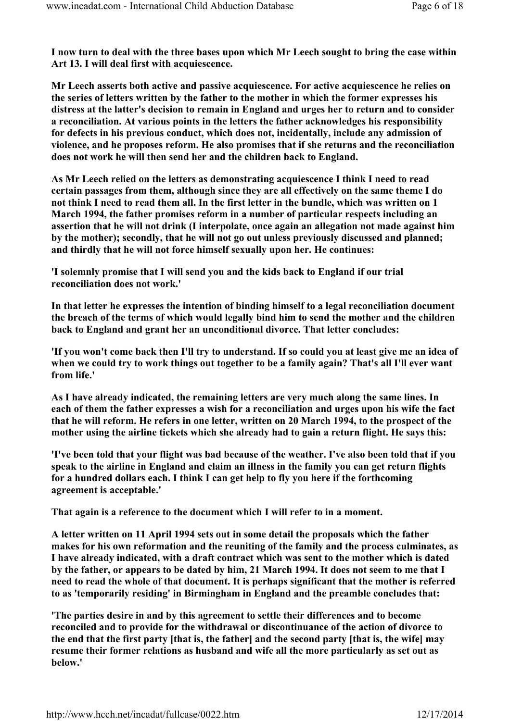I now turn to deal with the three bases upon which Mr Leech sought to bring the case within Art 13. I will deal first with acquiescence.

Mr Leech asserts both active and passive acquiescence. For active acquiescence he relies on the series of letters written by the father to the mother in which the former expresses his distress at the latter's decision to remain in England and urges her to return and to consider a reconciliation. At various points in the letters the father acknowledges his responsibility for defects in his previous conduct, which does not, incidentally, include any admission of violence, and he proposes reform. He also promises that if she returns and the reconciliation does not work he will then send her and the children back to England.

As Mr Leech relied on the letters as demonstrating acquiescence I think I need to read certain passages from them, although since they are all effectively on the same theme I do not think I need to read them all. In the first letter in the bundle, which was written on 1 March 1994, the father promises reform in a number of particular respects including an assertion that he will not drink (I interpolate, once again an allegation not made against him by the mother); secondly, that he will not go out unless previously discussed and planned; and thirdly that he will not force himself sexually upon her. He continues:

'I solemnly promise that I will send you and the kids back to England if our trial reconciliation does not work.'

In that letter he expresses the intention of binding himself to a legal reconciliation document the breach of the terms of which would legally bind him to send the mother and the children back to England and grant her an unconditional divorce. That letter concludes:

'If you won't come back then I'll try to understand. If so could you at least give me an idea of when we could try to work things out together to be a family again? That's all I'll ever want from life.'

As I have already indicated, the remaining letters are very much along the same lines. In each of them the father expresses a wish for a reconciliation and urges upon his wife the fact that he will reform. He refers in one letter, written on 20 March 1994, to the prospect of the mother using the airline tickets which she already had to gain a return flight. He says this:

'I've been told that your flight was bad because of the weather. I've also been told that if you speak to the airline in England and claim an illness in the family you can get return flights for a hundred dollars each. I think I can get help to fly you here if the forthcoming agreement is acceptable.'

That again is a reference to the document which I will refer to in a moment.

A letter written on 11 April 1994 sets out in some detail the proposals which the father makes for his own reformation and the reuniting of the family and the process culminates, as I have already indicated, with a draft contract which was sent to the mother which is dated by the father, or appears to be dated by him, 21 March 1994. It does not seem to me that I need to read the whole of that document. It is perhaps significant that the mother is referred to as 'temporarily residing' in Birmingham in England and the preamble concludes that:

'The parties desire in and by this agreement to settle their differences and to become reconciled and to provide for the withdrawal or discontinuance of the action of divorce to the end that the first party [that is, the father] and the second party [that is, the wife] may resume their former relations as husband and wife all the more particularly as set out as below.'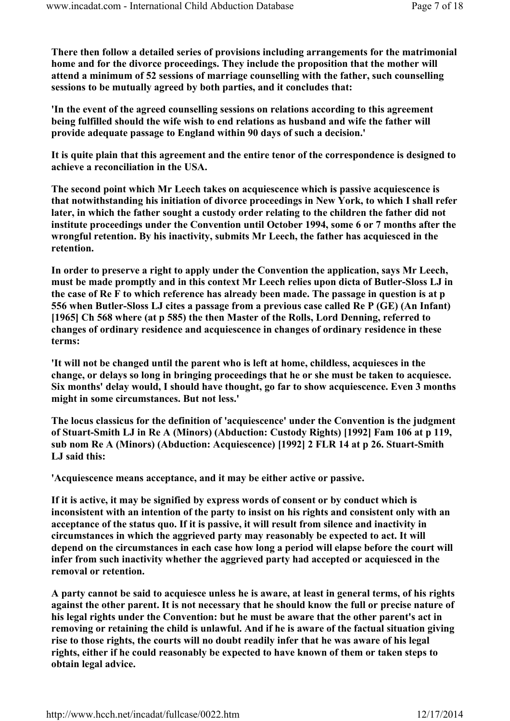There then follow a detailed series of provisions including arrangements for the matrimonial home and for the divorce proceedings. They include the proposition that the mother will attend a minimum of 52 sessions of marriage counselling with the father, such counselling sessions to be mutually agreed by both parties, and it concludes that:

'In the event of the agreed counselling sessions on relations according to this agreement being fulfilled should the wife wish to end relations as husband and wife the father will provide adequate passage to England within 90 days of such a decision.'

It is quite plain that this agreement and the entire tenor of the correspondence is designed to achieve a reconciliation in the USA.

The second point which Mr Leech takes on acquiescence which is passive acquiescence is that notwithstanding his initiation of divorce proceedings in New York, to which I shall refer later, in which the father sought a custody order relating to the children the father did not institute proceedings under the Convention until October 1994, some 6 or 7 months after the wrongful retention. By his inactivity, submits Mr Leech, the father has acquiesced in the retention.

In order to preserve a right to apply under the Convention the application, says Mr Leech, must be made promptly and in this context Mr Leech relies upon dicta of Butler-Sloss LJ in the case of Re F to which reference has already been made. The passage in question is at p 556 when Butler-Sloss LJ cites a passage from a previous case called Re P (GE) (An Infant) [1965] Ch 568 where (at p 585) the then Master of the Rolls, Lord Denning, referred to changes of ordinary residence and acquiescence in changes of ordinary residence in these terms:

'It will not be changed until the parent who is left at home, childless, acquiesces in the change, or delays so long in bringing proceedings that he or she must be taken to acquiesce. Six months' delay would, I should have thought, go far to show acquiescence. Even 3 months might in some circumstances. But not less.'

The locus classicus for the definition of 'acquiescence' under the Convention is the judgment of Stuart-Smith LJ in Re A (Minors) (Abduction: Custody Rights) [1992] Fam 106 at p 119, sub nom Re A (Minors) (Abduction: Acquiescence) [1992] 2 FLR 14 at p 26. Stuart-Smith LJ said this:

'Acquiescence means acceptance, and it may be either active or passive.

If it is active, it may be signified by express words of consent or by conduct which is inconsistent with an intention of the party to insist on his rights and consistent only with an acceptance of the status quo. If it is passive, it will result from silence and inactivity in circumstances in which the aggrieved party may reasonably be expected to act. It will depend on the circumstances in each case how long a period will elapse before the court will infer from such inactivity whether the aggrieved party had accepted or acquiesced in the removal or retention.

A party cannot be said to acquiesce unless he is aware, at least in general terms, of his rights against the other parent. It is not necessary that he should know the full or precise nature of his legal rights under the Convention: but he must be aware that the other parent's act in removing or retaining the child is unlawful. And if he is aware of the factual situation giving rise to those rights, the courts will no doubt readily infer that he was aware of his legal rights, either if he could reasonably be expected to have known of them or taken steps to obtain legal advice.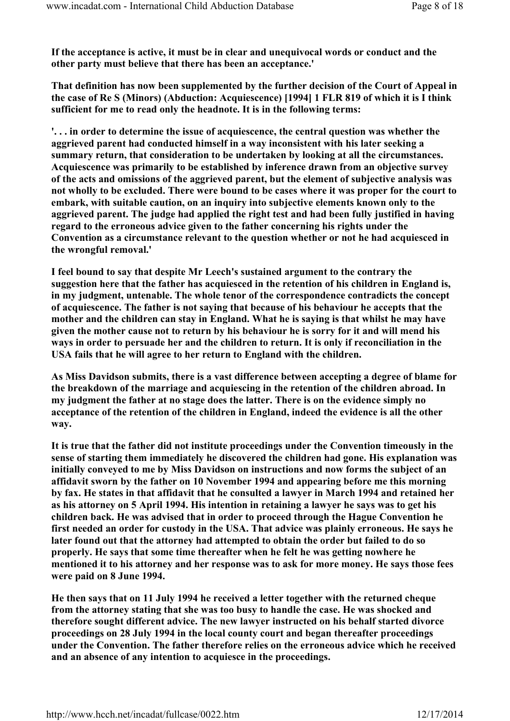If the acceptance is active, it must be in clear and unequivocal words or conduct and the other party must believe that there has been an acceptance.'

That definition has now been supplemented by the further decision of the Court of Appeal in the case of Re S (Minors) (Abduction: Acquiescence) [1994] 1 FLR 819 of which it is I think sufficient for me to read only the headnote. It is in the following terms:

'. . . in order to determine the issue of acquiescence, the central question was whether the aggrieved parent had conducted himself in a way inconsistent with his later seeking a summary return, that consideration to be undertaken by looking at all the circumstances. Acquiescence was primarily to be established by inference drawn from an objective survey of the acts and omissions of the aggrieved parent, but the element of subjective analysis was not wholly to be excluded. There were bound to be cases where it was proper for the court to embark, with suitable caution, on an inquiry into subjective elements known only to the aggrieved parent. The judge had applied the right test and had been fully justified in having regard to the erroneous advice given to the father concerning his rights under the Convention as a circumstance relevant to the question whether or not he had acquiesced in the wrongful removal.'

I feel bound to say that despite Mr Leech's sustained argument to the contrary the suggestion here that the father has acquiesced in the retention of his children in England is, in my judgment, untenable. The whole tenor of the correspondence contradicts the concept of acquiescence. The father is not saying that because of his behaviour he accepts that the mother and the children can stay in England. What he is saying is that whilst he may have given the mother cause not to return by his behaviour he is sorry for it and will mend his ways in order to persuade her and the children to return. It is only if reconciliation in the USA fails that he will agree to her return to England with the children.

As Miss Davidson submits, there is a vast difference between accepting a degree of blame for the breakdown of the marriage and acquiescing in the retention of the children abroad. In my judgment the father at no stage does the latter. There is on the evidence simply no acceptance of the retention of the children in England, indeed the evidence is all the other way.

It is true that the father did not institute proceedings under the Convention timeously in the sense of starting them immediately he discovered the children had gone. His explanation was initially conveyed to me by Miss Davidson on instructions and now forms the subject of an affidavit sworn by the father on 10 November 1994 and appearing before me this morning by fax. He states in that affidavit that he consulted a lawyer in March 1994 and retained her as his attorney on 5 April 1994. His intention in retaining a lawyer he says was to get his children back. He was advised that in order to proceed through the Hague Convention he first needed an order for custody in the USA. That advice was plainly erroneous. He says he later found out that the attorney had attempted to obtain the order but failed to do so properly. He says that some time thereafter when he felt he was getting nowhere he mentioned it to his attorney and her response was to ask for more money. He says those fees were paid on 8 June 1994.

He then says that on 11 July 1994 he received a letter together with the returned cheque from the attorney stating that she was too busy to handle the case. He was shocked and therefore sought different advice. The new lawyer instructed on his behalf started divorce proceedings on 28 July 1994 in the local county court and began thereafter proceedings under the Convention. The father therefore relies on the erroneous advice which he received and an absence of any intention to acquiesce in the proceedings.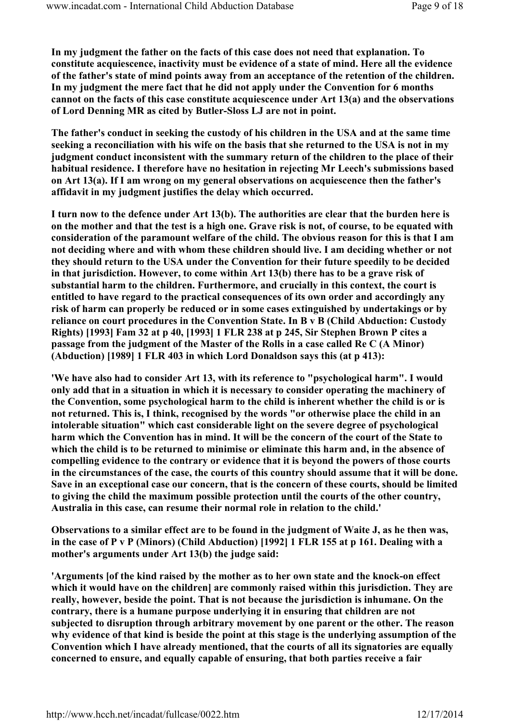In my judgment the father on the facts of this case does not need that explanation. To constitute acquiescence, inactivity must be evidence of a state of mind. Here all the evidence of the father's state of mind points away from an acceptance of the retention of the children. In my judgment the mere fact that he did not apply under the Convention for 6 months cannot on the facts of this case constitute acquiescence under Art 13(a) and the observations of Lord Denning MR as cited by Butler-Sloss LJ are not in point.

The father's conduct in seeking the custody of his children in the USA and at the same time seeking a reconciliation with his wife on the basis that she returned to the USA is not in my judgment conduct inconsistent with the summary return of the children to the place of their habitual residence. I therefore have no hesitation in rejecting Mr Leech's submissions based on Art 13(a). If I am wrong on my general observations on acquiescence then the father's affidavit in my judgment justifies the delay which occurred.

I turn now to the defence under Art 13(b). The authorities are clear that the burden here is on the mother and that the test is a high one. Grave risk is not, of course, to be equated with consideration of the paramount welfare of the child. The obvious reason for this is that I am not deciding where and with whom these children should live. I am deciding whether or not they should return to the USA under the Convention for their future speedily to be decided in that jurisdiction. However, to come within Art 13(b) there has to be a grave risk of substantial harm to the children. Furthermore, and crucially in this context, the court is entitled to have regard to the practical consequences of its own order and accordingly any risk of harm can properly be reduced or in some cases extinguished by undertakings or by reliance on court procedures in the Convention State. In B v B (Child Abduction: Custody Rights) [1993] Fam 32 at p 40, [1993] 1 FLR 238 at p 245, Sir Stephen Brown P cites a passage from the judgment of the Master of the Rolls in a case called Re C (A Minor) (Abduction) [1989] 1 FLR 403 in which Lord Donaldson says this (at p 413):

'We have also had to consider Art 13, with its reference to "psychological harm". I would only add that in a situation in which it is necessary to consider operating the machinery of the Convention, some psychological harm to the child is inherent whether the child is or is not returned. This is, I think, recognised by the words "or otherwise place the child in an intolerable situation" which cast considerable light on the severe degree of psychological harm which the Convention has in mind. It will be the concern of the court of the State to which the child is to be returned to minimise or eliminate this harm and, in the absence of compelling evidence to the contrary or evidence that it is beyond the powers of those courts in the circumstances of the case, the courts of this country should assume that it will be done. Save in an exceptional case our concern, that is the concern of these courts, should be limited to giving the child the maximum possible protection until the courts of the other country, Australia in this case, can resume their normal role in relation to the child.'

Observations to a similar effect are to be found in the judgment of Waite J, as he then was, in the case of P v P (Minors) (Child Abduction) [1992] 1 FLR 155 at p 161. Dealing with a mother's arguments under Art 13(b) the judge said:

'Arguments [of the kind raised by the mother as to her own state and the knock-on effect which it would have on the children] are commonly raised within this jurisdiction. They are really, however, beside the point. That is not because the jurisdiction is inhumane. On the contrary, there is a humane purpose underlying it in ensuring that children are not subjected to disruption through arbitrary movement by one parent or the other. The reason why evidence of that kind is beside the point at this stage is the underlying assumption of the Convention which I have already mentioned, that the courts of all its signatories are equally concerned to ensure, and equally capable of ensuring, that both parties receive a fair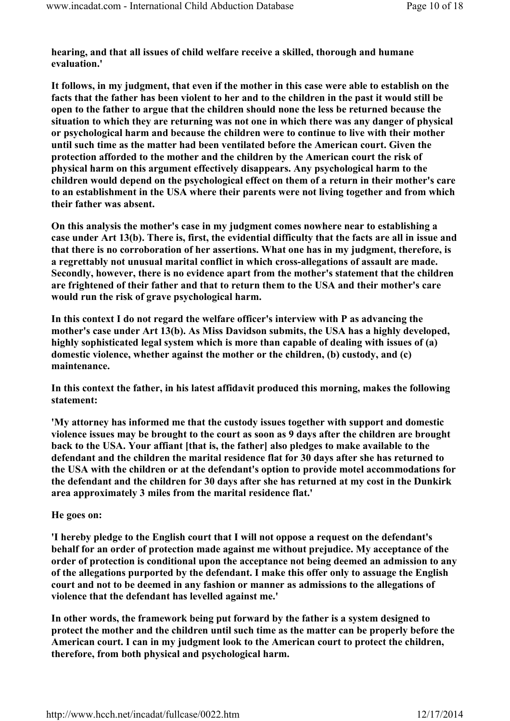hearing, and that all issues of child welfare receive a skilled, thorough and humane evaluation.'

It follows, in my judgment, that even if the mother in this case were able to establish on the facts that the father has been violent to her and to the children in the past it would still be open to the father to argue that the children should none the less be returned because the situation to which they are returning was not one in which there was any danger of physical or psychological harm and because the children were to continue to live with their mother until such time as the matter had been ventilated before the American court. Given the protection afforded to the mother and the children by the American court the risk of physical harm on this argument effectively disappears. Any psychological harm to the children would depend on the psychological effect on them of a return in their mother's care to an establishment in the USA where their parents were not living together and from which their father was absent.

On this analysis the mother's case in my judgment comes nowhere near to establishing a case under Art 13(b). There is, first, the evidential difficulty that the facts are all in issue and that there is no corroboration of her assertions. What one has in my judgment, therefore, is a regrettably not unusual marital conflict in which cross-allegations of assault are made. Secondly, however, there is no evidence apart from the mother's statement that the children are frightened of their father and that to return them to the USA and their mother's care would run the risk of grave psychological harm.

In this context I do not regard the welfare officer's interview with P as advancing the mother's case under Art 13(b). As Miss Davidson submits, the USA has a highly developed, highly sophisticated legal system which is more than capable of dealing with issues of (a) domestic violence, whether against the mother or the children, (b) custody, and (c) maintenance.

In this context the father, in his latest affidavit produced this morning, makes the following statement:

'My attorney has informed me that the custody issues together with support and domestic violence issues may be brought to the court as soon as 9 days after the children are brought back to the USA. Your affiant [that is, the father] also pledges to make available to the defendant and the children the marital residence flat for 30 days after she has returned to the USA with the children or at the defendant's option to provide motel accommodations for the defendant and the children for 30 days after she has returned at my cost in the Dunkirk area approximately 3 miles from the marital residence flat.'

## He goes on:

'I hereby pledge to the English court that I will not oppose a request on the defendant's behalf for an order of protection made against me without prejudice. My acceptance of the order of protection is conditional upon the acceptance not being deemed an admission to any of the allegations purported by the defendant. I make this offer only to assuage the English court and not to be deemed in any fashion or manner as admissions to the allegations of violence that the defendant has levelled against me.'

In other words, the framework being put forward by the father is a system designed to protect the mother and the children until such time as the matter can be properly before the American court. I can in my judgment look to the American court to protect the children, therefore, from both physical and psychological harm.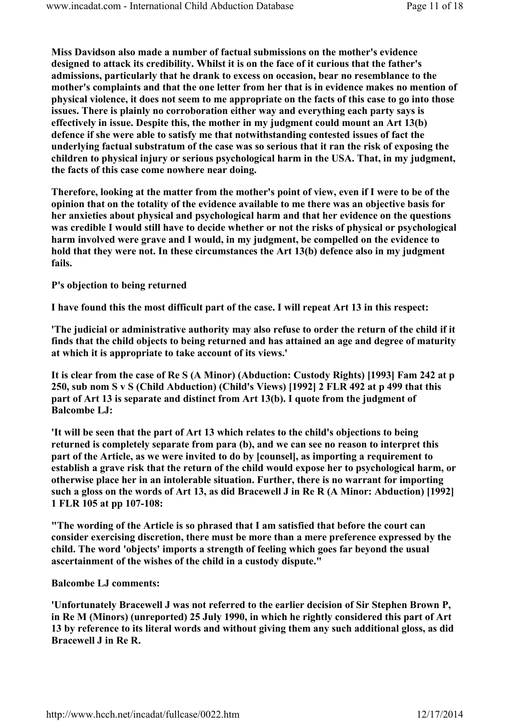Miss Davidson also made a number of factual submissions on the mother's evidence designed to attack its credibility. Whilst it is on the face of it curious that the father's admissions, particularly that he drank to excess on occasion, bear no resemblance to the mother's complaints and that the one letter from her that is in evidence makes no mention of physical violence, it does not seem to me appropriate on the facts of this case to go into those issues. There is plainly no corroboration either way and everything each party says is effectively in issue. Despite this, the mother in my judgment could mount an Art 13(b) defence if she were able to satisfy me that notwithstanding contested issues of fact the underlying factual substratum of the case was so serious that it ran the risk of exposing the children to physical injury or serious psychological harm in the USA. That, in my judgment, the facts of this case come nowhere near doing.

Therefore, looking at the matter from the mother's point of view, even if I were to be of the opinion that on the totality of the evidence available to me there was an objective basis for her anxieties about physical and psychological harm and that her evidence on the questions was credible I would still have to decide whether or not the risks of physical or psychological harm involved were grave and I would, in my judgment, be compelled on the evidence to hold that they were not. In these circumstances the Art 13(b) defence also in my judgment fails.

P's objection to being returned

I have found this the most difficult part of the case. I will repeat Art 13 in this respect:

'The judicial or administrative authority may also refuse to order the return of the child if it finds that the child objects to being returned and has attained an age and degree of maturity at which it is appropriate to take account of its views.'

It is clear from the case of Re S (A Minor) (Abduction: Custody Rights) [1993] Fam 242 at p 250, sub nom S v S (Child Abduction) (Child's Views) [1992] 2 FLR 492 at p 499 that this part of Art 13 is separate and distinct from Art 13(b). I quote from the judgment of Balcombe LJ:

'It will be seen that the part of Art 13 which relates to the child's objections to being returned is completely separate from para (b), and we can see no reason to interpret this part of the Article, as we were invited to do by [counsel], as importing a requirement to establish a grave risk that the return of the child would expose her to psychological harm, or otherwise place her in an intolerable situation. Further, there is no warrant for importing such a gloss on the words of Art 13, as did Bracewell J in Re R (A Minor: Abduction) [1992] 1 FLR 105 at pp 107-108:

"The wording of the Article is so phrased that I am satisfied that before the court can consider exercising discretion, there must be more than a mere preference expressed by the child. The word 'objects' imports a strength of feeling which goes far beyond the usual ascertainment of the wishes of the child in a custody dispute."

## Balcombe LJ comments:

'Unfortunately Bracewell J was not referred to the earlier decision of Sir Stephen Brown P, in Re M (Minors) (unreported) 25 July 1990, in which he rightly considered this part of Art 13 by reference to its literal words and without giving them any such additional gloss, as did Bracewell J in Re R.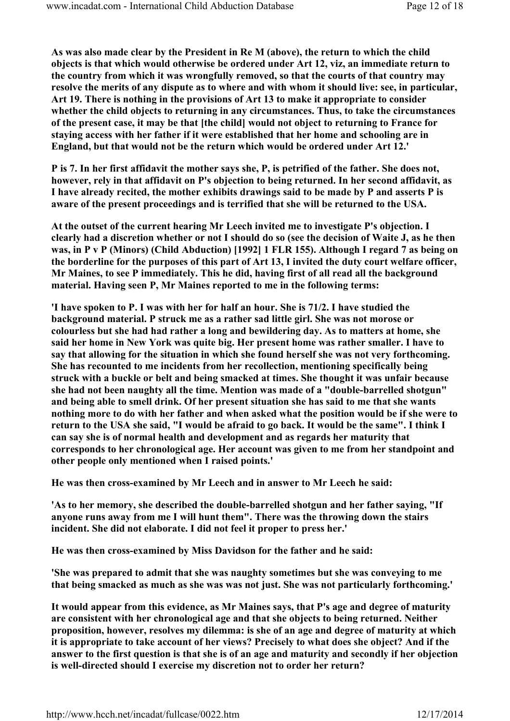As was also made clear by the President in Re M (above), the return to which the child objects is that which would otherwise be ordered under Art 12, viz, an immediate return to the country from which it was wrongfully removed, so that the courts of that country may resolve the merits of any dispute as to where and with whom it should live: see, in particular, Art 19. There is nothing in the provisions of Art 13 to make it appropriate to consider whether the child objects to returning in any circumstances. Thus, to take the circumstances of the present case, it may be that [the child] would not object to returning to France for staying access with her father if it were established that her home and schooling are in England, but that would not be the return which would be ordered under Art 12.'

P is 7. In her first affidavit the mother says she, P, is petrified of the father. She does not, however, rely in that affidavit on P's objection to being returned. In her second affidavit, as I have already recited, the mother exhibits drawings said to be made by P and asserts P is aware of the present proceedings and is terrified that she will be returned to the USA.

At the outset of the current hearing Mr Leech invited me to investigate P's objection. I clearly had a discretion whether or not I should do so (see the decision of Waite J, as he then was, in P v P (Minors) (Child Abduction) [1992] 1 FLR 155). Although I regard 7 as being on the borderline for the purposes of this part of Art 13, I invited the duty court welfare officer, Mr Maines, to see P immediately. This he did, having first of all read all the background material. Having seen P, Mr Maines reported to me in the following terms:

'I have spoken to P. I was with her for half an hour. She is 71/2. I have studied the background material. P struck me as a rather sad little girl. She was not morose or colourless but she had had rather a long and bewildering day. As to matters at home, she said her home in New York was quite big. Her present home was rather smaller. I have to say that allowing for the situation in which she found herself she was not very forthcoming. She has recounted to me incidents from her recollection, mentioning specifically being struck with a buckle or belt and being smacked at times. She thought it was unfair because she had not been naughty all the time. Mention was made of a "double-barrelled shotgun" and being able to smell drink. Of her present situation she has said to me that she wants nothing more to do with her father and when asked what the position would be if she were to return to the USA she said, "I would be afraid to go back. It would be the same". I think I can say she is of normal health and development and as regards her maturity that corresponds to her chronological age. Her account was given to me from her standpoint and other people only mentioned when I raised points.'

He was then cross-examined by Mr Leech and in answer to Mr Leech he said:

'As to her memory, she described the double-barrelled shotgun and her father saying, "If anyone runs away from me I will hunt them". There was the throwing down the stairs incident. She did not elaborate. I did not feel it proper to press her.'

He was then cross-examined by Miss Davidson for the father and he said:

'She was prepared to admit that she was naughty sometimes but she was conveying to me that being smacked as much as she was was not just. She was not particularly forthcoming.'

It would appear from this evidence, as Mr Maines says, that P's age and degree of maturity are consistent with her chronological age and that she objects to being returned. Neither proposition, however, resolves my dilemma: is she of an age and degree of maturity at which it is appropriate to take account of her views? Precisely to what does she object? And if the answer to the first question is that she is of an age and maturity and secondly if her objection is well-directed should I exercise my discretion not to order her return?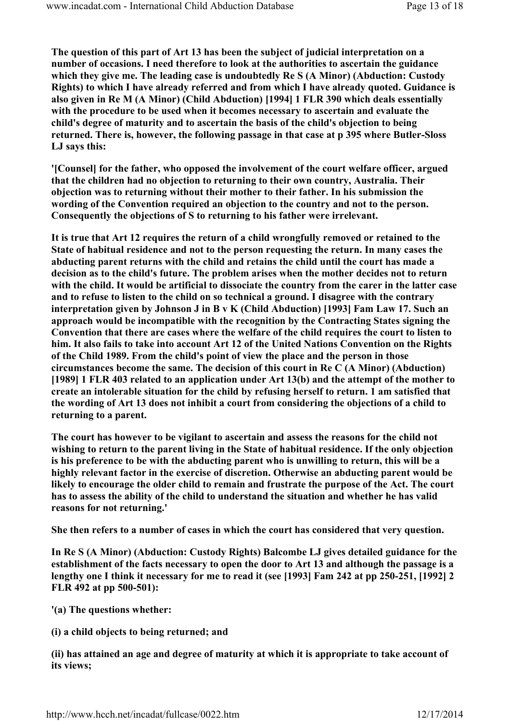The question of this part of Art 13 has been the subject of judicial interpretation on a number of occasions. I need therefore to look at the authorities to ascertain the guidance which they give me. The leading case is undoubtedly Re S (A Minor) (Abduction: Custody Rights) to which I have already referred and from which I have already quoted. Guidance is also given in Re M (A Minor) (Child Abduction) [1994] 1 FLR 390 which deals essentially with the procedure to be used when it becomes necessary to ascertain and evaluate the child's degree of maturity and to ascertain the basis of the child's objection to being returned. There is, however, the following passage in that case at p 395 where Butler-Sloss LJ says this:

'[Counsel] for the father, who opposed the involvement of the court welfare officer, argued that the children had no objection to returning to their own country, Australia. Their objection was to returning without their mother to their father. In his submission the wording of the Convention required an objection to the country and not to the person. Consequently the objections of S to returning to his father were irrelevant.

It is true that Art 12 requires the return of a child wrongfully removed or retained to the State of habitual residence and not to the person requesting the return. In many cases the abducting parent returns with the child and retains the child until the court has made a decision as to the child's future. The problem arises when the mother decides not to return with the child. It would be artificial to dissociate the country from the carer in the latter case and to refuse to listen to the child on so technical a ground. I disagree with the contrary interpretation given by Johnson J in B v K (Child Abduction) [1993] Fam Law 17. Such an approach would be incompatible with the recognition by the Contracting States signing the Convention that there are cases where the welfare of the child requires the court to listen to him. It also fails to take into account Art 12 of the United Nations Convention on the Rights of the Child 1989. From the child's point of view the place and the person in those circumstances become the same. The decision of this court in Re C (A Minor) (Abduction) [1989] 1 FLR 403 related to an application under Art 13(b) and the attempt of the mother to create an intolerable situation for the child by refusing herself to return. 1 am satisfied that the wording of Art 13 does not inhibit a court from considering the objections of a child to returning to a parent.

The court has however to be vigilant to ascertain and assess the reasons for the child not wishing to return to the parent living in the State of habitual residence. If the only objection is his preference to be with the abducting parent who is unwilling to return, this will be a highly relevant factor in the exercise of discretion. Otherwise an abducting parent would be likely to encourage the older child to remain and frustrate the purpose of the Act. The court has to assess the ability of the child to understand the situation and whether he has valid reasons for not returning.'

She then refers to a number of cases in which the court has considered that very question.

In Re S (A Minor) (Abduction: Custody Rights) Balcombe LJ gives detailed guidance for the establishment of the facts necessary to open the door to Art 13 and although the passage is a lengthy one I think it necessary for me to read it (see [1993] Fam 242 at pp 250-251, [1992] 2 FLR 492 at pp 500-501):

'(a) The questions whether:

(i) a child objects to being returned; and

(ii) has attained an age and degree of maturity at which it is appropriate to take account of its views;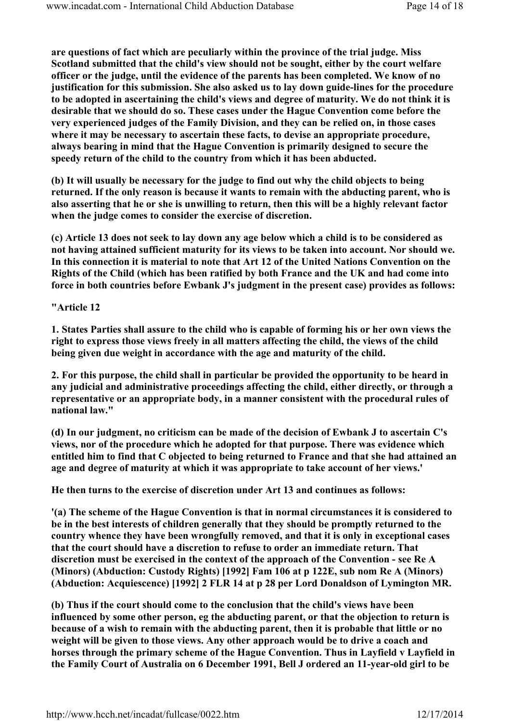are questions of fact which are peculiarly within the province of the trial judge. Miss Scotland submitted that the child's view should not be sought, either by the court welfare officer or the judge, until the evidence of the parents has been completed. We know of no justification for this submission. She also asked us to lay down guide-lines for the procedure to be adopted in ascertaining the child's views and degree of maturity. We do not think it is desirable that we should do so. These cases under the Hague Convention come before the very experienced judges of the Family Division, and they can be relied on, in those cases where it may be necessary to ascertain these facts, to devise an appropriate procedure, always bearing in mind that the Hague Convention is primarily designed to secure the speedy return of the child to the country from which it has been abducted.

(b) It will usually be necessary for the judge to find out why the child objects to being returned. If the only reason is because it wants to remain with the abducting parent, who is also asserting that he or she is unwilling to return, then this will be a highly relevant factor when the judge comes to consider the exercise of discretion.

(c) Article 13 does not seek to lay down any age below which a child is to be considered as not having attained sufficient maturity for its views to be taken into account. Nor should we. In this connection it is material to note that Art 12 of the United Nations Convention on the Rights of the Child (which has been ratified by both France and the UK and had come into force in both countries before Ewbank J's judgment in the present case) provides as follows:

"Article 12

1. States Parties shall assure to the child who is capable of forming his or her own views the right to express those views freely in all matters affecting the child, the views of the child being given due weight in accordance with the age and maturity of the child.

2. For this purpose, the child shall in particular be provided the opportunity to be heard in any judicial and administrative proceedings affecting the child, either directly, or through a representative or an appropriate body, in a manner consistent with the procedural rules of national law."

(d) In our judgment, no criticism can be made of the decision of Ewbank J to ascertain C's views, nor of the procedure which he adopted for that purpose. There was evidence which entitled him to find that C objected to being returned to France and that she had attained an age and degree of maturity at which it was appropriate to take account of her views.'

He then turns to the exercise of discretion under Art 13 and continues as follows:

'(a) The scheme of the Hague Convention is that in normal circumstances it is considered to be in the best interests of children generally that they should be promptly returned to the country whence they have been wrongfully removed, and that it is only in exceptional cases that the court should have a discretion to refuse to order an immediate return. That discretion must be exercised in the context of the approach of the Convention - see Re A (Minors) (Abduction: Custody Rights) [1992] Fam 106 at p 122E, sub nom Re A (Minors) (Abduction: Acquiescence) [1992] 2 FLR 14 at p 28 per Lord Donaldson of Lymington MR.

(b) Thus if the court should come to the conclusion that the child's views have been influenced by some other person, eg the abducting parent, or that the objection to return is because of a wish to remain with the abducting parent, then it is probable that little or no weight will be given to those views. Any other approach would be to drive a coach and horses through the primary scheme of the Hague Convention. Thus in Layfield v Layfield in the Family Court of Australia on 6 December 1991, Bell J ordered an 11-year-old girl to be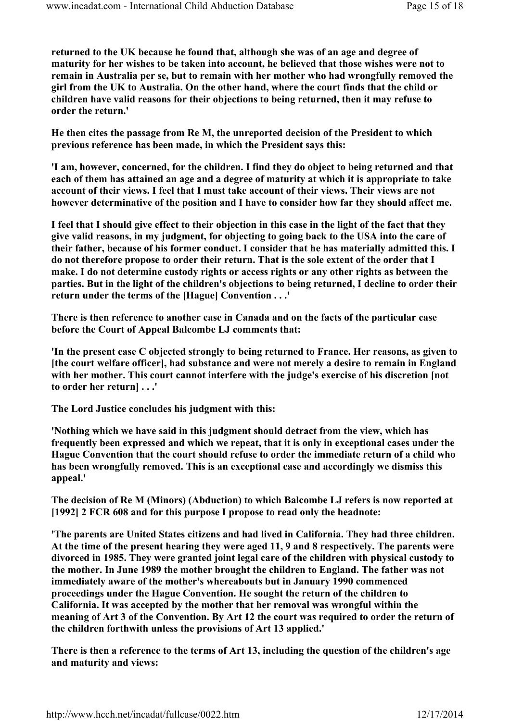returned to the UK because he found that, although she was of an age and degree of maturity for her wishes to be taken into account, he believed that those wishes were not to remain in Australia per se, but to remain with her mother who had wrongfully removed the girl from the UK to Australia. On the other hand, where the court finds that the child or children have valid reasons for their objections to being returned, then it may refuse to order the return.'

He then cites the passage from Re M, the unreported decision of the President to which previous reference has been made, in which the President says this:

'I am, however, concerned, for the children. I find they do object to being returned and that each of them has attained an age and a degree of maturity at which it is appropriate to take account of their views. I feel that I must take account of their views. Their views are not however determinative of the position and I have to consider how far they should affect me.

I feel that I should give effect to their objection in this case in the light of the fact that they give valid reasons, in my judgment, for objecting to going back to the USA into the care of their father, because of his former conduct. I consider that he has materially admitted this. I do not therefore propose to order their return. That is the sole extent of the order that I make. I do not determine custody rights or access rights or any other rights as between the parties. But in the light of the children's objections to being returned, I decline to order their return under the terms of the [Hague] Convention . . .'

There is then reference to another case in Canada and on the facts of the particular case before the Court of Appeal Balcombe LJ comments that:

'In the present case C objected strongly to being returned to France. Her reasons, as given to [the court welfare officer], had substance and were not merely a desire to remain in England with her mother. This court cannot interfere with the judge's exercise of his discretion [not to order her return] . . .'

The Lord Justice concludes his judgment with this:

'Nothing which we have said in this judgment should detract from the view, which has frequently been expressed and which we repeat, that it is only in exceptional cases under the Hague Convention that the court should refuse to order the immediate return of a child who has been wrongfully removed. This is an exceptional case and accordingly we dismiss this appeal.'

The decision of Re M (Minors) (Abduction) to which Balcombe LJ refers is now reported at [1992] 2 FCR 608 and for this purpose I propose to read only the headnote:

'The parents are United States citizens and had lived in California. They had three children. At the time of the present hearing they were aged 11, 9 and 8 respectively. The parents were divorced in 1985. They were granted joint legal care of the children with physical custody to the mother. In June 1989 the mother brought the children to England. The father was not immediately aware of the mother's whereabouts but in January 1990 commenced proceedings under the Hague Convention. He sought the return of the children to California. It was accepted by the mother that her removal was wrongful within the meaning of Art 3 of the Convention. By Art 12 the court was required to order the return of the children forthwith unless the provisions of Art 13 applied.'

There is then a reference to the terms of Art 13, including the question of the children's age and maturity and views: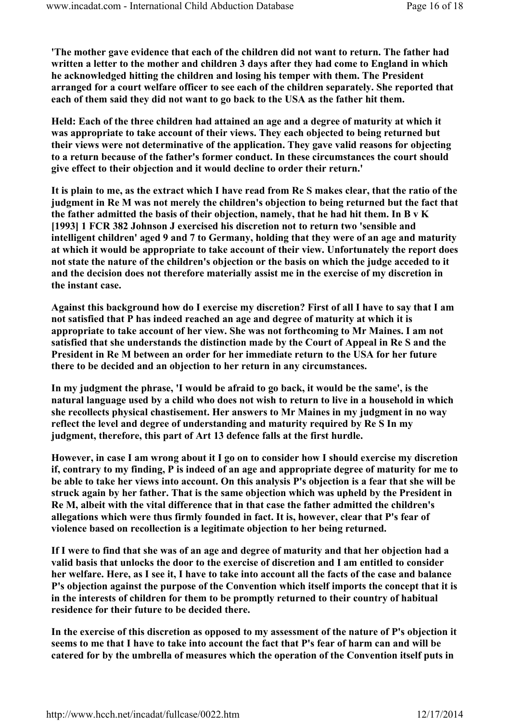'The mother gave evidence that each of the children did not want to return. The father had written a letter to the mother and children 3 days after they had come to England in which he acknowledged hitting the children and losing his temper with them. The President arranged for a court welfare officer to see each of the children separately. She reported that each of them said they did not want to go back to the USA as the father hit them.

Held: Each of the three children had attained an age and a degree of maturity at which it was appropriate to take account of their views. They each objected to being returned but their views were not determinative of the application. They gave valid reasons for objecting to a return because of the father's former conduct. In these circumstances the court should give effect to their objection and it would decline to order their return.'

It is plain to me, as the extract which I have read from Re S makes clear, that the ratio of the judgment in Re M was not merely the children's objection to being returned but the fact that the father admitted the basis of their objection, namely, that he had hit them. In B v K [1993] 1 FCR 382 Johnson J exercised his discretion not to return two 'sensible and intelligent children' aged 9 and 7 to Germany, holding that they were of an age and maturity at which it would be appropriate to take account of their view. Unfortunately the report does not state the nature of the children's objection or the basis on which the judge acceded to it and the decision does not therefore materially assist me in the exercise of my discretion in the instant case.

Against this background how do I exercise my discretion? First of all I have to say that I am not satisfied that P has indeed reached an age and degree of maturity at which it is appropriate to take account of her view. She was not forthcoming to Mr Maines. I am not satisfied that she understands the distinction made by the Court of Appeal in Re S and the President in Re M between an order for her immediate return to the USA for her future there to be decided and an objection to her return in any circumstances.

In my judgment the phrase, 'I would be afraid to go back, it would be the same', is the natural language used by a child who does not wish to return to live in a household in which she recollects physical chastisement. Her answers to Mr Maines in my judgment in no way reflect the level and degree of understanding and maturity required by Re S In my judgment, therefore, this part of Art 13 defence falls at the first hurdle.

However, in case I am wrong about it I go on to consider how I should exercise my discretion if, contrary to my finding, P is indeed of an age and appropriate degree of maturity for me to be able to take her views into account. On this analysis P's objection is a fear that she will be struck again by her father. That is the same objection which was upheld by the President in Re M, albeit with the vital difference that in that case the father admitted the children's allegations which were thus firmly founded in fact. It is, however, clear that P's fear of violence based on recollection is a legitimate objection to her being returned.

If I were to find that she was of an age and degree of maturity and that her objection had a valid basis that unlocks the door to the exercise of discretion and I am entitled to consider her welfare. Here, as I see it, I have to take into account all the facts of the case and balance P's objection against the purpose of the Convention which itself imports the concept that it is in the interests of children for them to be promptly returned to their country of habitual residence for their future to be decided there.

In the exercise of this discretion as opposed to my assessment of the nature of P's objection it seems to me that I have to take into account the fact that P's fear of harm can and will be catered for by the umbrella of measures which the operation of the Convention itself puts in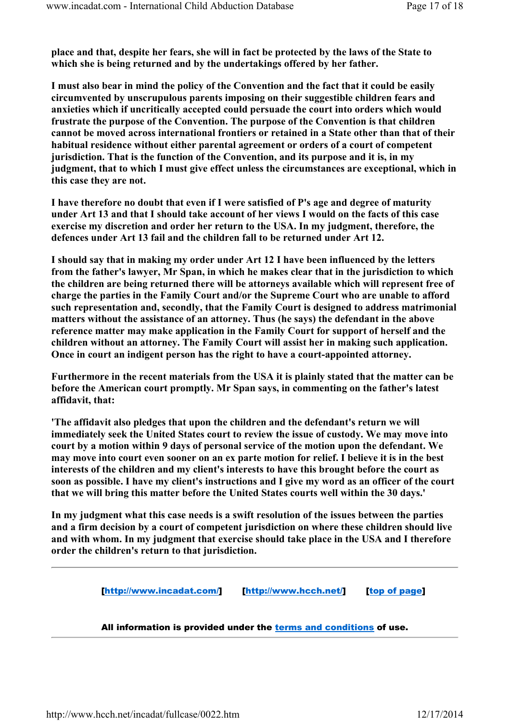place and that, despite her fears, she will in fact be protected by the laws of the State to which she is being returned and by the undertakings offered by her father.

I must also bear in mind the policy of the Convention and the fact that it could be easily circumvented by unscrupulous parents imposing on their suggestible children fears and anxieties which if uncritically accepted could persuade the court into orders which would frustrate the purpose of the Convention. The purpose of the Convention is that children cannot be moved across international frontiers or retained in a State other than that of their habitual residence without either parental agreement or orders of a court of competent jurisdiction. That is the function of the Convention, and its purpose and it is, in my judgment, that to which I must give effect unless the circumstances are exceptional, which in this case they are not.

I have therefore no doubt that even if I were satisfied of P's age and degree of maturity under Art 13 and that I should take account of her views I would on the facts of this case exercise my discretion and order her return to the USA. In my judgment, therefore, the defences under Art 13 fail and the children fall to be returned under Art 12.

I should say that in making my order under Art 12 I have been influenced by the letters from the father's lawyer, Mr Span, in which he makes clear that in the jurisdiction to which the children are being returned there will be attorneys available which will represent free of charge the parties in the Family Court and/or the Supreme Court who are unable to afford such representation and, secondly, that the Family Court is designed to address matrimonial matters without the assistance of an attorney. Thus (he says) the defendant in the above reference matter may make application in the Family Court for support of herself and the children without an attorney. The Family Court will assist her in making such application. Once in court an indigent person has the right to have a court-appointed attorney.

Furthermore in the recent materials from the USA it is plainly stated that the matter can be before the American court promptly. Mr Span says, in commenting on the father's latest affidavit, that:

'The affidavit also pledges that upon the children and the defendant's return we will immediately seek the United States court to review the issue of custody. We may move into court by a motion within 9 days of personal service of the motion upon the defendant. We may move into court even sooner on an ex parte motion for relief. I believe it is in the best interests of the children and my client's interests to have this brought before the court as soon as possible. I have my client's instructions and I give my word as an officer of the court that we will bring this matter before the United States courts well within the 30 days.'

In my judgment what this case needs is a swift resolution of the issues between the parties and a firm decision by a court of competent jurisdiction on where these children should live and with whom. In my judgment that exercise should take place in the USA and I therefore order the children's return to that jurisdiction.

[http://www.incadat.com/] [http://www.hcch.net/] [top of page]

## All information is provided under the terms and conditions of use.